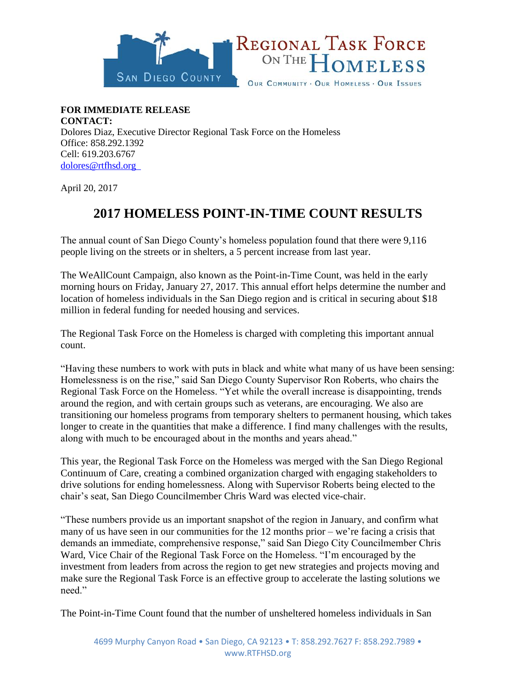

**FOR IMMEDIATE RELEASE CONTACT:**  Dolores Diaz, Executive Director Regional Task Force on the Homeless Office: 858.292.1392 Cell: 619.203.6767 [dolores@rtfhsd.org](mailto:dolores@rtfhsd.org) 

April 20, 2017

## **2017 HOMELESS POINT-IN-TIME COUNT RESULTS**

The annual count of San Diego County's homeless population found that there were 9,116 people living on the streets or in shelters, a 5 percent increase from last year.

The WeAllCount Campaign, also known as the Point-in-Time Count, was held in the early morning hours on Friday, January 27, 2017. This annual effort helps determine the number and location of homeless individuals in the San Diego region and is critical in securing about \$18 million in federal funding for needed housing and services.

The Regional Task Force on the Homeless is charged with completing this important annual count.

"Having these numbers to work with puts in black and white what many of us have been sensing: Homelessness is on the rise," said San Diego County Supervisor Ron Roberts, who chairs the Regional Task Force on the Homeless. "Yet while the overall increase is disappointing, trends around the region, and with certain groups such as veterans, are encouraging. We also are transitioning our homeless programs from temporary shelters to permanent housing, which takes longer to create in the quantities that make a difference. I find many challenges with the results, along with much to be encouraged about in the months and years ahead."

This year, the Regional Task Force on the Homeless was merged with the San Diego Regional Continuum of Care, creating a combined organization charged with engaging stakeholders to drive solutions for ending homelessness. Along with Supervisor Roberts being elected to the chair's seat, San Diego Councilmember Chris Ward was elected vice-chair.

"These numbers provide us an important snapshot of the region in January, and confirm what many of us have seen in our communities for the 12 months prior – we're facing a crisis that demands an immediate, comprehensive response," said San Diego City Councilmember Chris Ward, Vice Chair of the Regional Task Force on the Homeless. "I'm encouraged by the investment from leaders from across the region to get new strategies and projects moving and make sure the Regional Task Force is an effective group to accelerate the lasting solutions we need."

The Point-in-Time Count found that the number of unsheltered homeless individuals in San